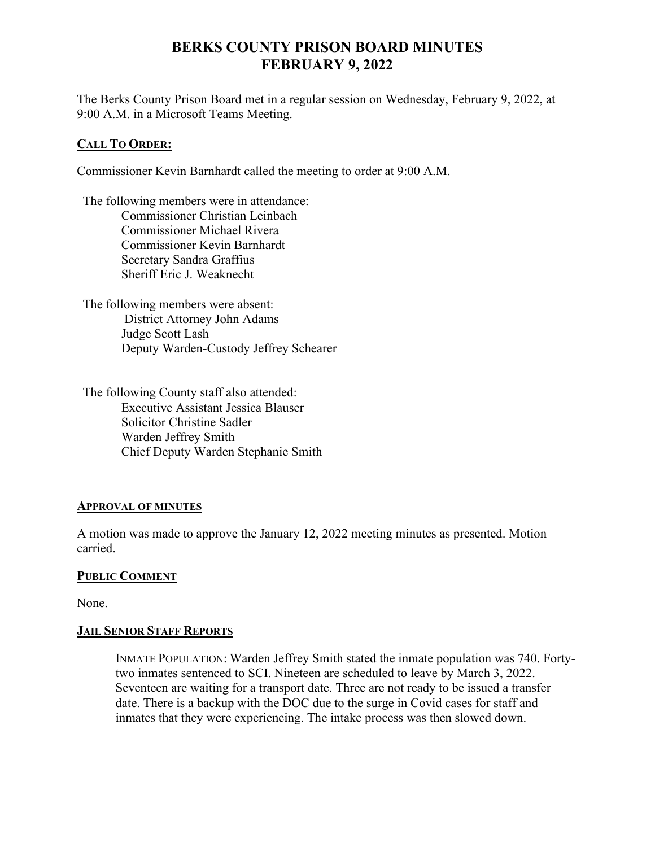# **BERKS COUNTY PRISON BOARD MINUTES FEBRUARY 9, 2022**

The Berks County Prison Board met in a regular session on Wednesday, February 9, 2022, at 9:00 A.M. in a Microsoft Teams Meeting.

## **CALL TO ORDER:**

Commissioner Kevin Barnhardt called the meeting to order at 9:00 A.M.

The following members were in attendance: Commissioner Christian Leinbach Commissioner Michael Rivera Commissioner Kevin Barnhardt Secretary Sandra Graffius Sheriff Eric J. Weaknecht

The following members were absent: District Attorney John Adams Judge Scott Lash Deputy Warden-Custody Jeffrey Schearer

The following County staff also attended: Executive Assistant Jessica Blauser Solicitor Christine Sadler Warden Jeffrey Smith Chief Deputy Warden Stephanie Smith

## **APPROVAL OF MINUTES**

A motion was made to approve the January 12, 2022 meeting minutes as presented. Motion carried.

## **PUBLIC COMMENT**

None.

## **JAIL SENIOR STAFF REPORTS**

INMATE POPULATION: Warden Jeffrey Smith stated the inmate population was 740. Fortytwo inmates sentenced to SCI. Nineteen are scheduled to leave by March 3, 2022. Seventeen are waiting for a transport date. Three are not ready to be issued a transfer date. There is a backup with the DOC due to the surge in Covid cases for staff and inmates that they were experiencing. The intake process was then slowed down.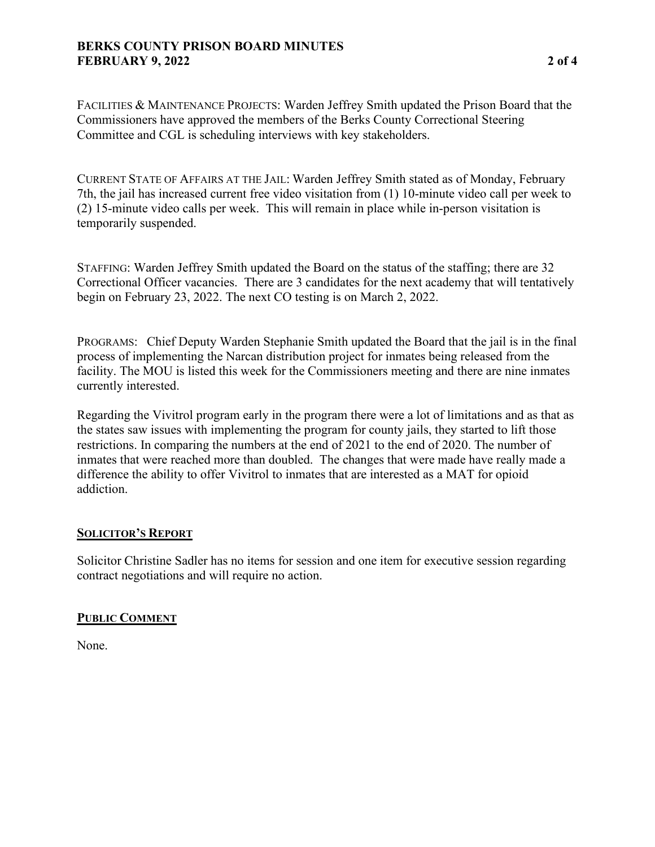## **BERKS COUNTY PRISON BOARD MINUTES FEBRUARY 9, 2022 2 of 4**

FACILITIES & MAINTENANCE PROJECTS: Warden Jeffrey Smith updated the Prison Board that the Commissioners have approved the members of the Berks County Correctional Steering Committee and CGL is scheduling interviews with key stakeholders.

CURRENT STATE OF AFFAIRS AT THE JAIL: Warden Jeffrey Smith stated as of Monday, February 7th, the jail has increased current free video visitation from (1) 10-minute video call per week to (2) 15-minute video calls per week. This will remain in place while in-person visitation is temporarily suspended.

STAFFING: Warden Jeffrey Smith updated the Board on the status of the staffing; there are 32 Correctional Officer vacancies. There are 3 candidates for the next academy that will tentatively begin on February 23, 2022. The next CO testing is on March 2, 2022.

PROGRAMS: Chief Deputy Warden Stephanie Smith updated the Board that the jail is in the final process of implementing the Narcan distribution project for inmates being released from the facility. The MOU is listed this week for the Commissioners meeting and there are nine inmates currently interested.

Regarding the Vivitrol program early in the program there were a lot of limitations and as that as the states saw issues with implementing the program for county jails, they started to lift those restrictions. In comparing the numbers at the end of 2021 to the end of 2020. The number of inmates that were reached more than doubled. The changes that were made have really made a difference the ability to offer Vivitrol to inmates that are interested as a MAT for opioid addiction.

## **SOLICITOR'S REPORT**

Solicitor Christine Sadler has no items for session and one item for executive session regarding contract negotiations and will require no action.

## **PUBLIC COMMENT**

None.